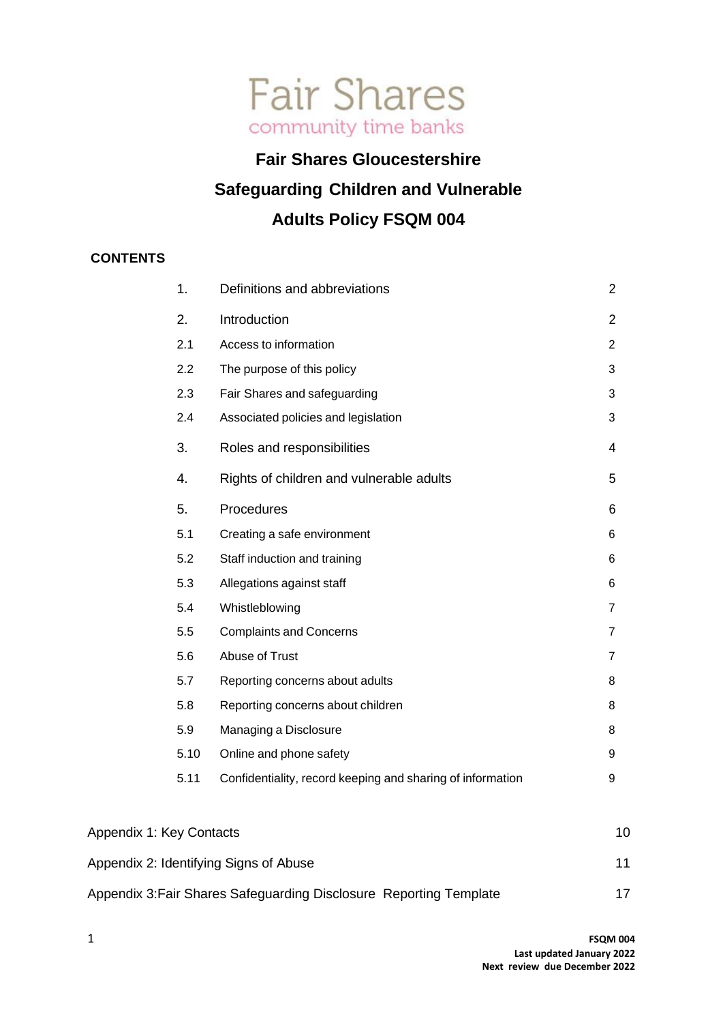

## **Fair Shares Gloucestershire Safeguarding Children and Vulnerable Adults Policy FSQM 004**

## **CONTENTS**

|                          | 1.   | Definitions and abbreviations                              | $\overline{2}$ |
|--------------------------|------|------------------------------------------------------------|----------------|
|                          | 2.   | Introduction                                               | $\overline{2}$ |
|                          | 2.1  | Access to information                                      | $\overline{2}$ |
|                          | 2.2  | The purpose of this policy                                 | $\mathbf{3}$   |
|                          | 2.3  | Fair Shares and safeguarding                               | $\mathbf{3}$   |
|                          | 2.4  | Associated policies and legislation                        | 3              |
|                          | 3.   | Roles and responsibilities                                 | 4              |
|                          | 4.   | Rights of children and vulnerable adults                   | 5              |
|                          | 5.   | Procedures                                                 | 6              |
|                          | 5.1  | Creating a safe environment                                | 6              |
|                          | 5.2  | Staff induction and training                               | 6              |
|                          | 5.3  | Allegations against staff                                  | 6              |
|                          | 5.4  | Whistleblowing                                             | $\overline{7}$ |
|                          | 5.5  | <b>Complaints and Concerns</b>                             | $\overline{7}$ |
|                          | 5.6  | Abuse of Trust                                             | $\overline{7}$ |
|                          | 5.7  | Reporting concerns about adults                            | 8              |
|                          | 5.8  | Reporting concerns about children                          | 8              |
|                          | 5.9  | Managing a Disclosure                                      | 8              |
|                          | 5.10 | Online and phone safety                                    | 9              |
|                          | 5.11 | Confidentiality, record keeping and sharing of information | 9              |
| Appendix 1: Key Contacts |      |                                                            | 10             |

| Appendix 2: Identifying Signs of Abuse                             |  |
|--------------------------------------------------------------------|--|
| Appendix 3: Fair Shares Safeguarding Disclosure Reporting Template |  |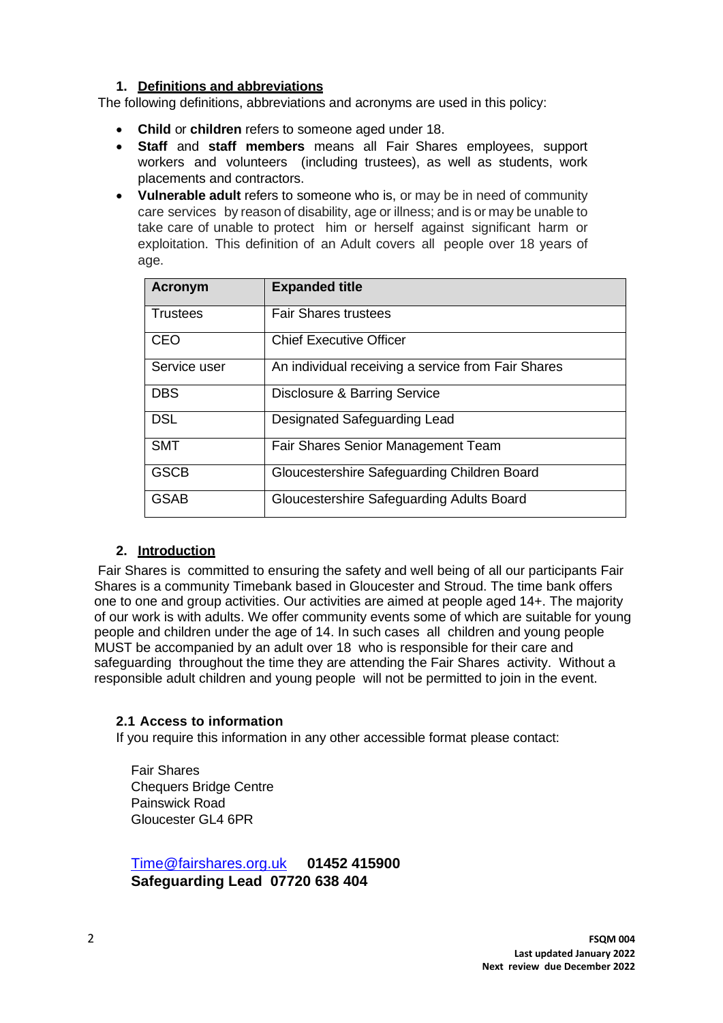## **1. Definitions and abbreviations**

<span id="page-1-0"></span>The following definitions, abbreviations and acronyms are used in this policy:

- **Child** or **children** refers to someone aged under 18.
- **Staff** and **staff members** means all Fair Shares employees, support workers and volunteers (including trustees), as well as students, work placements and contractors.
- **Vulnerable adult** refers to someone who is, or may be in need of community care services by reason of disability, age or illness; and is or may be unable to take care of unable to protect him or herself against significant harm or exploitation. This definition of an Adult covers all people over 18 years of age.

| <b>Acronym</b>  | <b>Expanded title</b>                              |
|-----------------|----------------------------------------------------|
| <b>Trustees</b> | <b>Fair Shares trustees</b>                        |
| <b>CEO</b>      | <b>Chief Executive Officer</b>                     |
| Service user    | An individual receiving a service from Fair Shares |
| <b>DBS</b>      | Disclosure & Barring Service                       |
| <b>DSL</b>      | Designated Safeguarding Lead                       |
| <b>SMT</b>      | Fair Shares Senior Management Team                 |
| <b>GSCB</b>     | Gloucestershire Safeguarding Children Board        |
| GSAB            | Gloucestershire Safeguarding Adults Board          |

## **2. Introduction**

<span id="page-1-1"></span>Fair Shares is committed to ensuring the safety and well being of all our participants Fair Shares is a community Timebank based in Gloucester and Stroud. The time bank offers one to one and group activities. Our activities are aimed at people aged 14+. The majority of our work is with adults. We offer community events some of which are suitable for young people and children under the age of 14. In such cases all children and young people MUST be accompanied by an adult over 18 who is responsible for their care and safeguarding throughout the time they are attending the Fair Shares activity. Without a responsible adult children and young people will not be permitted to join in the event.

## <span id="page-1-2"></span>**2.1 Access to information**

If you require this information in any other accessible format please contact:

Fair Shares Chequers Bridge Centre Painswick Road Gloucester GL4 6PR

[Time@fairshares.org.uk](mailto:Time@fairshares.org.uk) **01452 415900 Safeguarding Lead 07720 638 404**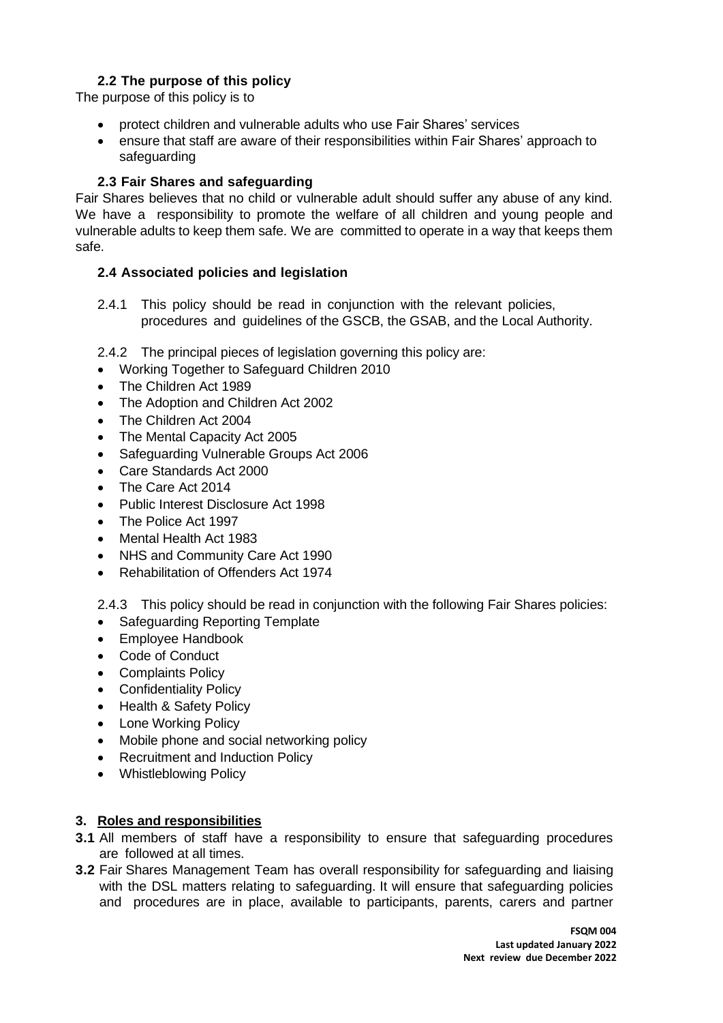## **2.2 The purpose of this policy**

<span id="page-2-0"></span>The purpose of this policy is to

- protect children and vulnerable adults who use Fair Shares' services
- ensure that staff are aware of their responsibilities within Fair Shares' approach to safeguarding

## **2.3 Fair Shares and safeguarding**

<span id="page-2-1"></span>Fair Shares believes that no child or vulnerable adult should suffer any abuse of any kind. We have a responsibility to promote the welfare of all children and young people and vulnerable adults to keep them safe. We are committed to operate in a way that keeps them safe.

## <span id="page-2-2"></span>**2.4 Associated policies and legislation**

2.4.1 This policy should be read in conjunction with the relevant policies, procedures and guidelines of the GSCB, the GSAB, and the Local Authority.

2.4.2 The principal pieces of legislation governing this policy are:

- Working Together to Safeguard Children 2010
- The Children Act 1989
- The Adoption and Children Act 2002
- The Children Act 2004
- The Mental Capacity Act 2005
- Safeguarding Vulnerable Groups Act 2006
- Care Standards Act 2000
- The Care Act 2014
- Public Interest Disclosure Act 1998
- The Police Act 1997
- Mental Health Act 1983
- NHS and Community Care Act 1990
- Rehabilitation of Offenders Act 1974

2.4.3 This policy should be read in conjunction with the following Fair Shares policies:

- Safeguarding Reporting Template
- Employee Handbook
- Code of Conduct
- Complaints Policy
- Confidentiality Policy
- Health & Safety Policy
- Lone Working Policy
- Mobile phone and social networking policy
- Recruitment and Induction Policy
- Whistleblowing Policy

#### <span id="page-2-3"></span>**3. Roles and responsibilities**

- **3.1** All members of staff have a responsibility to ensure that safeguarding procedures are followed at all times.
- **3.2** Fair Shares Management Team has overall responsibility for safeguarding and liaising with the DSL matters relating to safeguarding. It will ensure that safeguarding policies and procedures are in place, available to participants, parents, carers and partner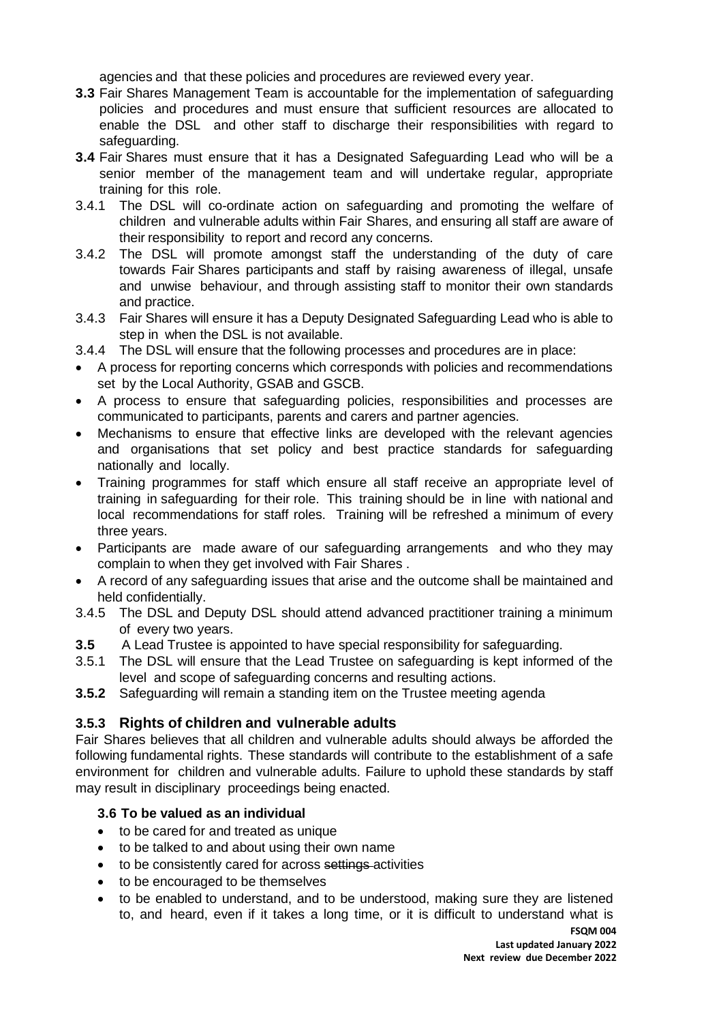agencies and that these policies and procedures are reviewed every year.

- **3.3** Fair Shares Management Team is accountable for the implementation of safeguarding policies and procedures and must ensure that sufficient resources are allocated to enable the DSL and other staff to discharge their responsibilities with regard to safeguarding.
- **3.4** Fair Shares must ensure that it has a Designated Safeguarding Lead who will be a senior member of the management team and will undertake regular, appropriate training for this role.
- 3.4.1 The DSL will co-ordinate action on safeguarding and promoting the welfare of children and vulnerable adults within Fair Shares, and ensuring all staff are aware of their responsibility to report and record any concerns.
- 3.4.2 The DSL will promote amongst staff the understanding of the duty of care towards Fair Shares participants and staff by raising awareness of illegal, unsafe and unwise behaviour, and through assisting staff to monitor their own standards and practice.
- 3.4.3 Fair Shares will ensure it has a Deputy Designated Safeguarding Lead who is able to step in when the DSL is not available.
- 3.4.4 The DSL will ensure that the following processes and procedures are in place:
- A process for reporting concerns which corresponds with policies and recommendations set by the Local Authority, GSAB and GSCB.
- A process to ensure that safeguarding policies, responsibilities and processes are communicated to participants, parents and carers and partner agencies.
- Mechanisms to ensure that effective links are developed with the relevant agencies and organisations that set policy and best practice standards for safeguarding nationally and locally.
- Training programmes for staff which ensure all staff receive an appropriate level of training in safeguarding for their role. This training should be in line with national and local recommendations for staff roles. Training will be refreshed a minimum of every three years.
- Participants are made aware of our safeguarding arrangements and who they may complain to when they get involved with Fair Shares .
- A record of any safeguarding issues that arise and the outcome shall be maintained and held confidentially.
- 3.4.5 The DSL and Deputy DSL should attend advanced practitioner training a minimum of every two years.
- **3.5** A Lead Trustee is appointed to have special responsibility for safeguarding.
- 3.5.1 The DSL will ensure that the Lead Trustee on safeguarding is kept informed of the level and scope of safeguarding concerns and resulting actions.
- **3.5.2** Safeguarding will remain a standing item on the Trustee meeting agenda

## **3.5.3 Rights of children and vulnerable adults**

Fair Shares believes that all children and vulnerable adults should always be afforded the following fundamental rights. These standards will contribute to the establishment of a safe environment for children and vulnerable adults. Failure to uphold these standards by staff may result in disciplinary proceedings being enacted.

## <span id="page-3-0"></span>**3.6 To be valued as an individual**

- to be cared for and treated as unique
- to be talked to and about using their own name
- to be consistently cared for across settings activities
- to be encouraged to be themselves
- to be enabled to understand, and to be understood, making sure they are listened to, and heard, even if it takes a long time, or it is difficult to understand what is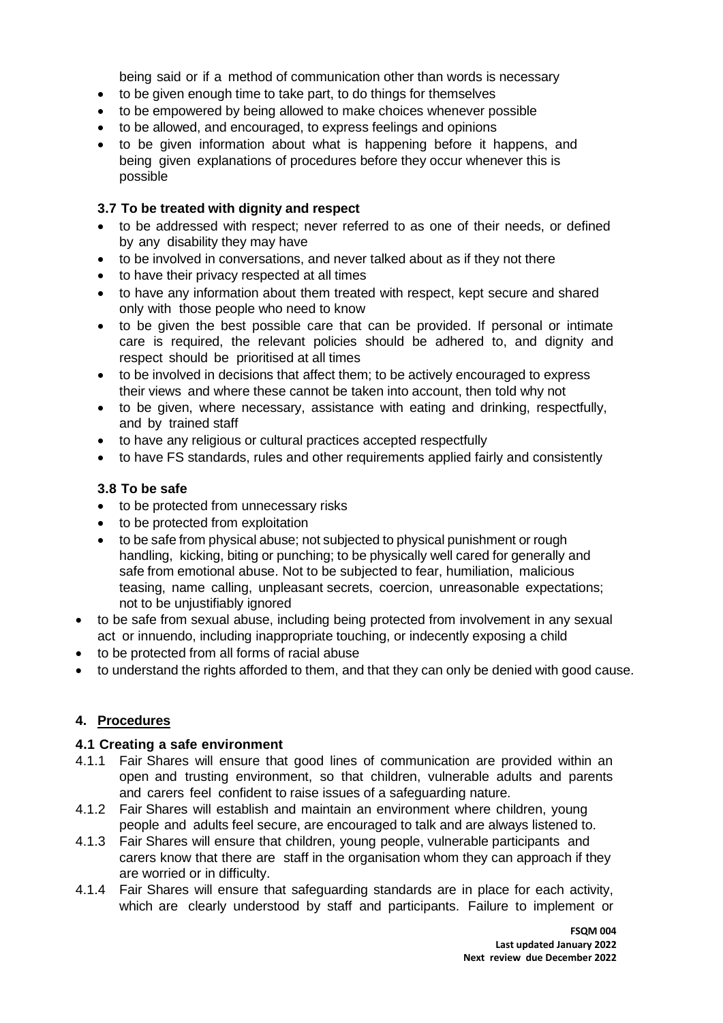being said or if a method of communication other than words is necessary

- to be given enough time to take part, to do things for themselves
- to be empowered by being allowed to make choices whenever possible
- to be allowed, and encouraged, to express feelings and opinions
- to be given information about what is happening before it happens, and being given explanations of procedures before they occur whenever this is possible

#### **3.7 To be treated with dignity and respect**

- to be addressed with respect; never referred to as one of their needs, or defined by any disability they may have
- to be involved in conversations, and never talked about as if they not there
- to have their privacy respected at all times
- to have any information about them treated with respect, kept secure and shared only with those people who need to know
- to be given the best possible care that can be provided. If personal or intimate care is required, the relevant policies should be adhered to, and dignity and respect should be prioritised at all times
- to be involved in decisions that affect them; to be actively encouraged to express their views and where these cannot be taken into account, then told why not
- to be given, where necessary, assistance with eating and drinking, respectfully, and by trained staff
- to have any religious or cultural practices accepted respectfully
- to have FS standards, rules and other requirements applied fairly and consistently

## **3.8 To be safe**

- to be protected from unnecessary risks
- to be protected from exploitation
- to be safe from physical abuse; not subjected to physical punishment or rough handling, kicking, biting or punching; to be physically well cared for generally and safe from emotional abuse. Not to be subjected to fear, humiliation, malicious teasing, name calling, unpleasant secrets, coercion, unreasonable expectations; not to be unjustifiably ignored
- to be safe from sexual abuse, including being protected from involvement in any sexual act or innuendo, including inappropriate touching, or indecently exposing a child
- to be protected from all forms of racial abuse
- <span id="page-4-0"></span>• to understand the rights afforded to them, and that they can only be denied with good cause.

## **4. Procedures**

#### <span id="page-4-1"></span>**4.1 Creating a safe environment**

- 4.1.1 Fair Shares will ensure that good lines of communication are provided within an open and trusting environment, so that children, vulnerable adults and parents and carers feel confident to raise issues of a safeguarding nature.
- 4.1.2 Fair Shares will establish and maintain an environment where children, young people and adults feel secure, are encouraged to talk and are always listened to.
- 4.1.3 Fair Shares will ensure that children, young people, vulnerable participants and carers know that there are staff in the organisation whom they can approach if they are worried or in difficulty.
- 4.1.4 Fair Shares will ensure that safeguarding standards are in place for each activity, which are clearly understood by staff and participants. Failure to implement or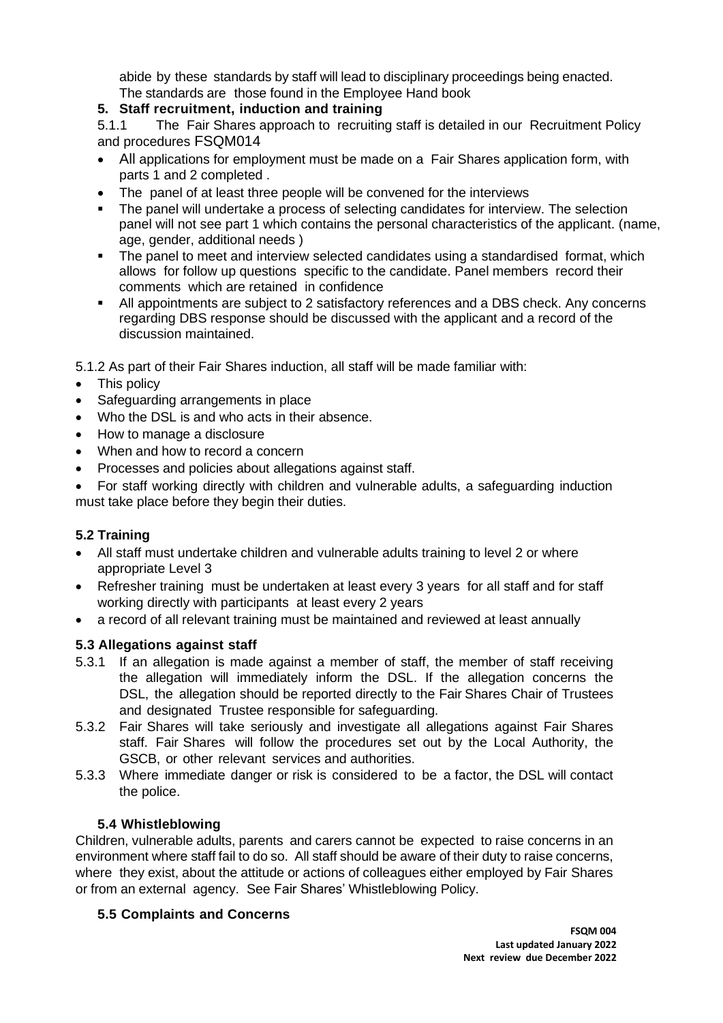abide by these standards by staff will lead to disciplinary proceedings being enacted. The standards are those found in the Employee Hand book

## <span id="page-5-0"></span>**5. Staff recruitment, induction and training**

5.1.1 The Fair Shares approach to recruiting staff is detailed in our Recruitment Policy and procedures FSQM014

- All applications for employment must be made on a Fair Shares application form, with parts 1 and 2 completed .
- The panel of at least three people will be convened for the interviews
- The panel will undertake a process of selecting candidates for interview. The selection panel will not see part 1 which contains the personal characteristics of the applicant. (name, age, gender, additional needs )
- The panel to meet and interview selected candidates using a standardised format, which allows for follow up questions specific to the candidate. Panel members record their comments which are retained in confidence
- **EXECT All appointments are subject to 2 satisfactory references and a DBS check. Any concerns** regarding DBS response should be discussed with the applicant and a record of the discussion maintained.

5.1.2 As part of their Fair Shares induction, all staff will be made familiar with:

- This policy
- Safeguarding arrangements in place
- Who the DSL is and who acts in their absence.
- How to manage a disclosure
- When and how to record a concern
- Processes and policies about allegations against staff.
- For staff working directly with children and vulnerable adults, a safeguarding induction must take place before they begin their duties.

## **5.2 Training**

- All staff must undertake children and vulnerable adults training to level 2 or where appropriate Level 3
- Refresher training must be undertaken at least every 3 years for all staff and for staff working directly with participants at least every 2 years
- a record of all relevant training must be maintained and reviewed at least annually

## <span id="page-5-1"></span>**5.3 Allegations against staff**

- 5.3.1 If an allegation is made against a member of staff, the member of staff receiving the allegation will immediately inform the DSL. If the allegation concerns the DSL, the allegation should be reported directly to the Fair Shares Chair of Trustees and designated Trustee responsible for safeguarding.
- 5.3.2 Fair Shares will take seriously and investigate all allegations against Fair Shares staff. Fair Shares will follow the procedures set out by the Local Authority, the GSCB, or other relevant services and authorities.
- 5.3.3 Where immediate danger or risk is considered to be a factor, the DSL will contact the police.

## **5.4 Whistleblowing**

<span id="page-5-2"></span>Children, vulnerable adults, parents and carers cannot be expected to raise concerns in an environment where staff fail to do so. All staff should be aware of their duty to raise concerns, where they exist, about the attitude or actions of colleagues either employed by Fair Shares or from an external agency. See Fair Shares' Whistleblowing Policy.

## <span id="page-5-3"></span>**5.5 Complaints and Concerns**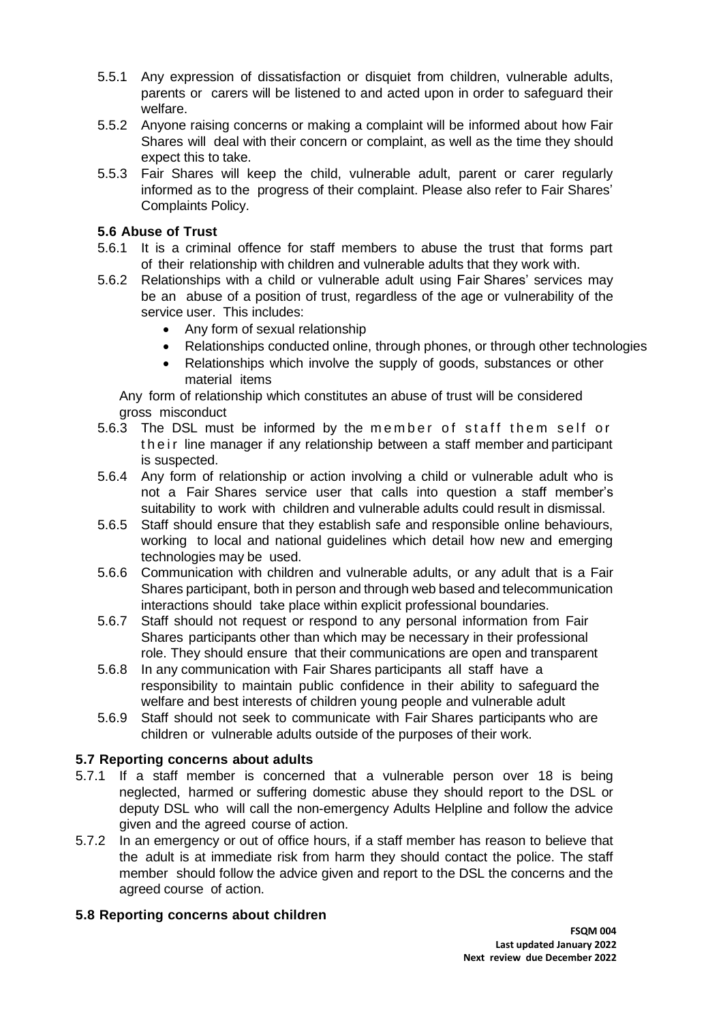- 5.5.1 Any expression of dissatisfaction or disquiet from children, vulnerable adults, parents or carers will be listened to and acted upon in order to safeguard their welfare.
- 5.5.2 Anyone raising concerns or making a complaint will be informed about how Fair Shares will deal with their concern or complaint, as well as the time they should expect this to take.
- 5.5.3 Fair Shares will keep the child, vulnerable adult, parent or carer regularly informed as to the progress of their complaint. Please also refer to Fair Shares' Complaints Policy.

## <span id="page-6-0"></span>**5.6 Abuse of Trust**

- 5.6.1 It is a criminal offence for staff members to abuse the trust that forms part of their relationship with children and vulnerable adults that they work with.
- 5.6.2 Relationships with a child or vulnerable adult using Fair Shares' services may be an abuse of a position of trust, regardless of the age or vulnerability of the service user. This includes:
	- Any form of sexual relationship
	- Relationships conducted online, through phones, or through other technologies
	- Relationships which involve the supply of goods, substances or other material items

Any form of relationship which constitutes an abuse of trust will be considered gross misconduct

- 5.6.3 The DSL must be informed by the member of staff them self or the ir line manager if any relationship between a staff member and participant is suspected.
- 5.6.4 Any form of relationship or action involving a child or vulnerable adult who is not a Fair Shares service user that calls into question a staff member's suitability to work with children and vulnerable adults could result in dismissal.
- 5.6.5 Staff should ensure that they establish safe and responsible online behaviours, working to local and national guidelines which detail how new and emerging technologies may be used.
- 5.6.6 Communication with children and vulnerable adults, or any adult that is a Fair Shares participant, both in person and through web based and telecommunication interactions should take place within explicit professional boundaries.
- 5.6.7 Staff should not request or respond to any personal information from Fair Shares participants other than which may be necessary in their professional role. They should ensure that their communications are open and transparent
- 5.6.8 In any communication with Fair Shares participants all staff have a responsibility to maintain public confidence in their ability to safeguard the welfare and best interests of children young people and vulnerable adult
- 5.6.9 Staff should not seek to communicate with Fair Shares participants who are children or vulnerable adults outside of the purposes of their work.

#### <span id="page-6-1"></span>**5.7 Reporting concerns about adults**

- 5.7.1 If a staff member is concerned that a vulnerable person over 18 is being neglected, harmed or suffering domestic abuse they should report to the DSL or deputy DSL who will call the non-emergency Adults Helpline and follow the advice given and the agreed course of action.
- 5.7.2 In an emergency or out of office hours, if a staff member has reason to believe that the adult is at immediate risk from harm they should contact the police. The staff member should follow the advice given and report to the DSL the concerns and the agreed course of action.

#### <span id="page-6-2"></span>**5.8 Reporting concerns about children**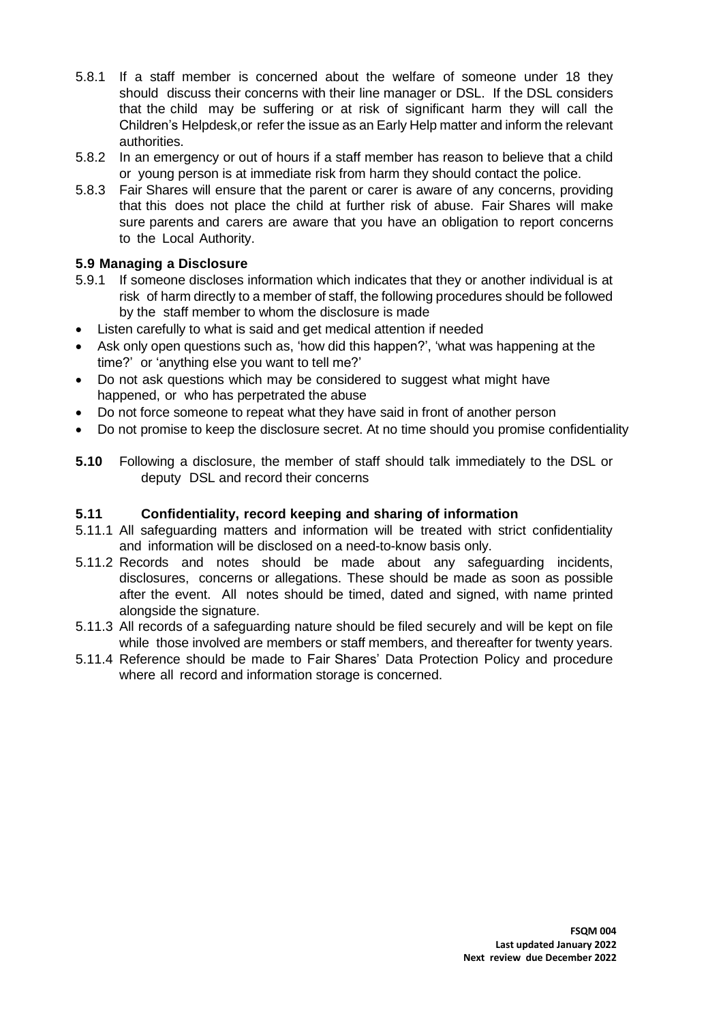- 5.8.1 If a staff member is concerned about the welfare of someone under 18 they should discuss their concerns with their line manager or DSL. If the DSL considers that the child may be suffering or at risk of significant harm they will call the Children's Helpdesk,or refer the issue as an Early Help matter and inform the relevant authorities.
- 5.8.2 In an emergency or out of hours if a staff member has reason to believe that a child or young person is at immediate risk from harm they should contact the police.
- 5.8.3 Fair Shares will ensure that the parent or carer is aware of any concerns, providing that this does not place the child at further risk of abuse. Fair Shares will make sure parents and carers are aware that you have an obligation to report concerns to the Local Authority.

## <span id="page-7-0"></span>**5.9 Managing a Disclosure**

- 5.9.1 If someone discloses information which indicates that they or another individual is at risk of harm directly to a member of staff, the following procedures should be followed by the staff member to whom the disclosure is made
- Listen carefully to what is said and get medical attention if needed
- Ask only open questions such as, 'how did this happen?', 'what was happening at the time?' or 'anything else you want to tell me?'
- Do not ask questions which may be considered to suggest what might have happened, or who has perpetrated the abuse
- Do not force someone to repeat what they have said in front of another person
- Do not promise to keep the disclosure secret. At no time should you promise confidentiality
- **5.10** Following a disclosure, the member of staff should talk immediately to the DSL or deputy DSL and record their concerns

## <span id="page-7-1"></span>**5.11 Confidentiality, record keeping and sharing of information**

- 5.11.1 All safeguarding matters and information will be treated with strict confidentiality and information will be disclosed on a need-to-know basis only.
- 5.11.2 Records and notes should be made about any safeguarding incidents, disclosures, concerns or allegations. These should be made as soon as possible after the event. All notes should be timed, dated and signed, with name printed alongside the signature.
- 5.11.3 All records of a safeguarding nature should be filed securely and will be kept on file while those involved are members or staff members, and thereafter for twenty years.
- <span id="page-7-2"></span>5.11.4 Reference should be made to Fair Shares' Data Protection Policy and procedure where all record and information storage is concerned.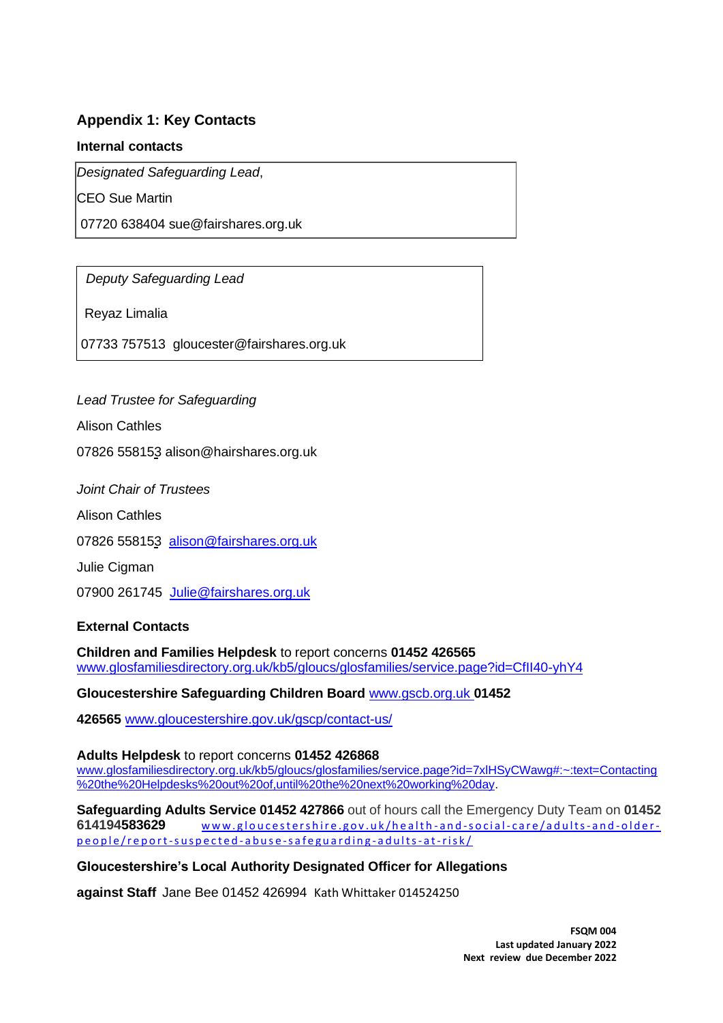## **Appendix 1: Key Contacts**

#### **Internal contacts**

*Designated Safeguarding Lead*,

CEO Sue Martin

07720 638404 sue@fairshares.org.uk

*Deputy Safeguarding Lead*

Reyaz Limalia

07733 757513 gloucester@fairshares.org.uk

## *Lead Trustee for Safeguarding*

Alison Cathles

07826 558153 alison@hairshares.org.uk

*Joint Chair of Trustees*

Alison Cathles

07826 558153 [alison@fairshares.org.uk](mailto:alison@fairshares.org.uk)

Julie Cigman

07900 261745 [Julie@fairshares.org.uk](mailto:Julie@fairshares.org.uk)

#### **External Contacts**

**Children and Families Helpdesk** to report concerns **01452 426565** [www.glosfamiliesdirectory.org.uk/kb5/gloucs/glosfamilies/service.page?id=CfII40-yhY4](http://www.glosfamiliesdirectory.org.uk/kb5/gloucs/glosfamilies/service.page?id=CfII40-yhY4)

**Gloucestershire Safeguarding Children Board** [www.gscb.org.uk](http://www.gscb.org.uk/) **01452**

**426565** [www.gloucestershire.gov.uk/gscp/contact-us/](http://www.gloucestershire.gov.uk/gscp/contact-us/)

#### **Adults Helpdesk** to report concerns **01452 426868**

[www.glosfamiliesdirectory.org.uk/kb5/gloucs/glosfamilies/service.page?id=7xlHSyCWawg#:~:text=Contacting](http://www.glosfamiliesdirectory.org.uk/kb5/gloucs/glosfamilies/service.page?id=7xlHSyCWawg#:~:text=Contacting%20the%20Helpdesks%20out%20of,until%20the%20next%20working%20day) [%20the%20Helpdesks%20out%20of,until%20the%20next%20working%20day.](http://www.glosfamiliesdirectory.org.uk/kb5/gloucs/glosfamilies/service.page?id=7xlHSyCWawg#:~:text=Contacting%20the%20Helpdesks%20out%20of,until%20the%20next%20working%20day)

**Safeguarding Adults Service 01452 427866** out of hours call the Emergency Duty Team on **01452**  614194583629 www.gloucestershire.gov.uk/health-and-social-care/adults-and-olderp e o p l e / r e p o r t - s u s p e c t e d - a b u s e - s a f e g u a r d in g - a d u l t s - a t-risk /

#### **Gloucestershire's Local Authority Designated Officer for Allegations**

**against Staff** Jane Bee 01452 426994 Kath Whittaker 014524250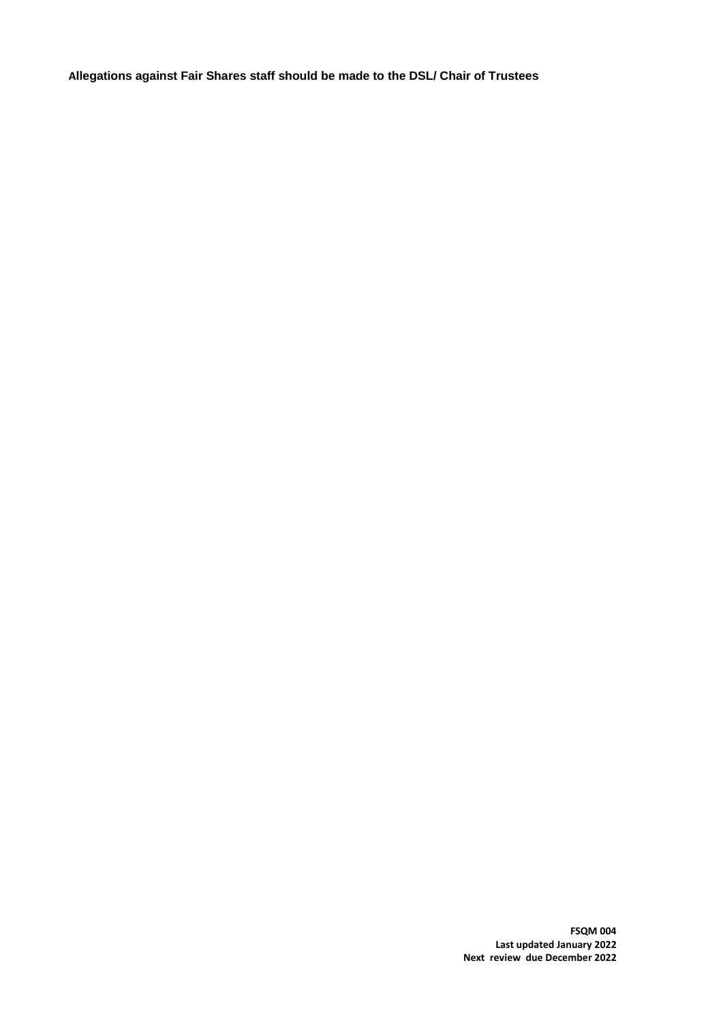**Allegations against Fair Shares staff should be made to the DSL/ Chair of Trustees** 

**FSQM 004 Last updated January 2022 Next review due December 2022**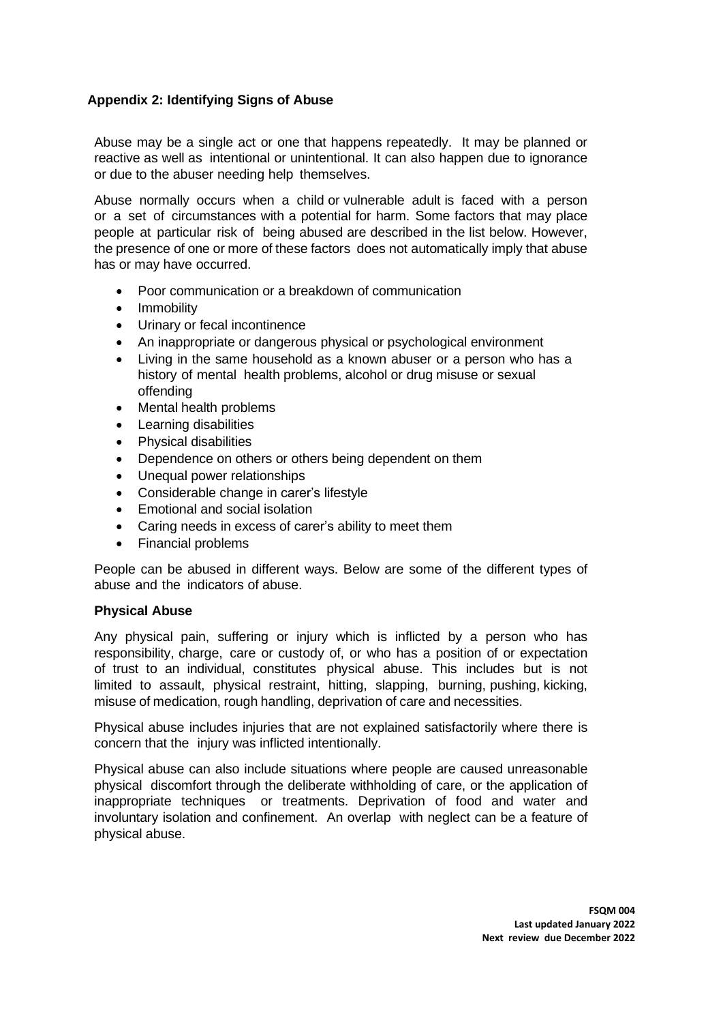## <span id="page-10-0"></span>**Appendix 2: Identifying Signs of Abuse**

Abuse may be a single act or one that happens repeatedly. It may be planned or reactive as well as intentional or unintentional. It can also happen due to ignorance or due to the abuser needing help themselves.

Abuse normally occurs when a child or vulnerable adult is faced with a person or a set of circumstances with a potential for harm. Some factors that may place people at particular risk of being abused are described in the list below. However, the presence of one or more of these factors does not automatically imply that abuse has or may have occurred.

- Poor communication or a breakdown of communication
- Immobility
- Urinary or fecal incontinence
- An inappropriate or dangerous physical or psychological environment
- Living in the same household as a known abuser or a person who has a history of mental health problems, alcohol or drug misuse or sexual offending
- Mental health problems
- Learning disabilities
- Physical disabilities
- Dependence on others or others being dependent on them
- Unequal power relationships
- Considerable change in carer's lifestyle
- Emotional and social isolation
- Caring needs in excess of carer's ability to meet them
- Financial problems

People can be abused in different ways. Below are some of the different types of abuse and the indicators of abuse.

#### **Physical Abuse**

Any physical pain, suffering or injury which is inflicted by a person who has responsibility, charge, care or custody of, or who has a position of or expectation of trust to an individual, constitutes physical abuse. This includes but is not limited to assault, physical restraint, hitting, slapping, burning, pushing, kicking, misuse of medication, rough handling, deprivation of care and necessities.

Physical abuse includes injuries that are not explained satisfactorily where there is concern that the injury was inflicted intentionally.

Physical abuse can also include situations where people are caused unreasonable physical discomfort through the deliberate withholding of care, or the application of inappropriate techniques or treatments. Deprivation of food and water and involuntary isolation and confinement. An overlap with neglect can be a feature of physical abuse.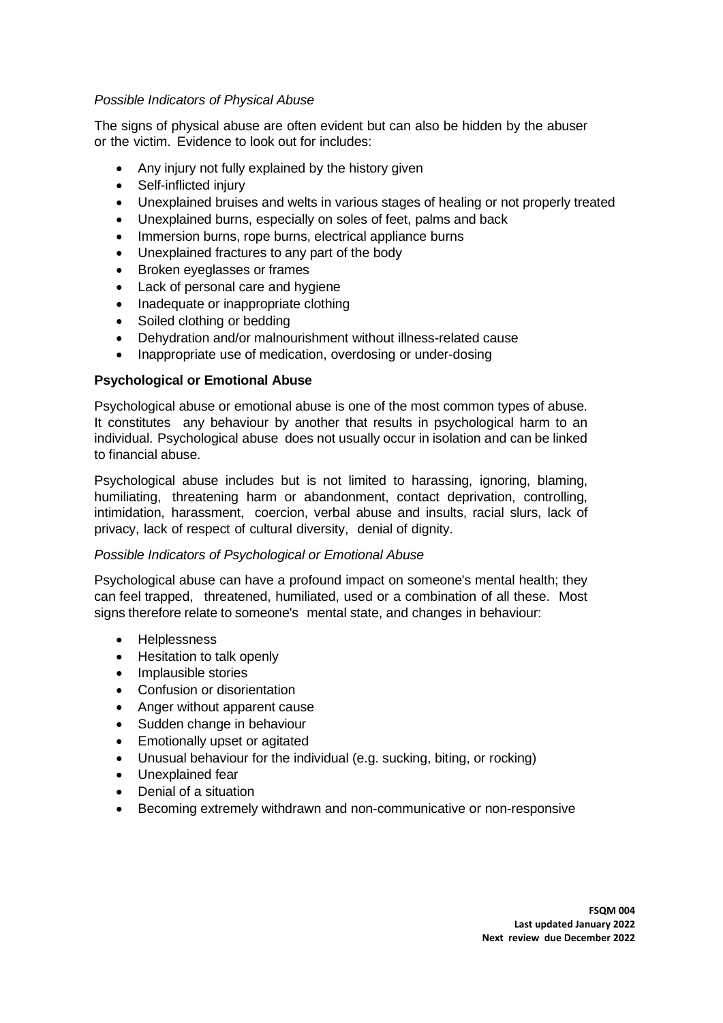## *Possible Indicators of Physical Abuse*

The signs of physical abuse are often evident but can also be hidden by the abuser or the victim. Evidence to look out for includes:

- Any injury not fully explained by the history given
- Self-inflicted injury
- Unexplained bruises and welts in various stages of healing or not properly treated
- Unexplained burns, especially on soles of feet, palms and back
- Immersion burns, rope burns, electrical appliance burns
- Unexplained fractures to any part of the body
- Broken eyeglasses or frames
- Lack of personal care and hygiene
- Inadequate or inappropriate clothing
- Soiled clothing or bedding
- Dehydration and/or malnourishment without illness-related cause
- Inappropriate use of medication, overdosing or under-dosing

#### **Psychological or Emotional Abuse**

Psychological abuse or emotional abuse is one of the most common types of abuse. It constitutes any behaviour by another that results in psychological harm to an individual. Psychological abuse does not usually occur in isolation and can be linked to financial abuse.

Psychological abuse includes but is not limited to harassing, ignoring, blaming, humiliating, threatening harm or abandonment, contact deprivation, controlling, intimidation, harassment, coercion, verbal abuse and insults, racial slurs, lack of privacy, lack of respect of cultural diversity, denial of dignity.

#### *Possible Indicators of Psychological or Emotional Abuse*

Psychological abuse can have a profound impact on someone's mental health; they can feel trapped, threatened, humiliated, used or a combination of all these. Most signs therefore relate to someone's mental state, and changes in behaviour:

- Helplessness
- Hesitation to talk openly
- Implausible stories
- Confusion or disorientation
- Anger without apparent cause
- Sudden change in behaviour
- Emotionally upset or agitated
- Unusual behaviour for the individual (e.g. sucking, biting, or rocking)
- Unexplained fear
- Denial of a situation
- Becoming extremely withdrawn and non-communicative or non-responsive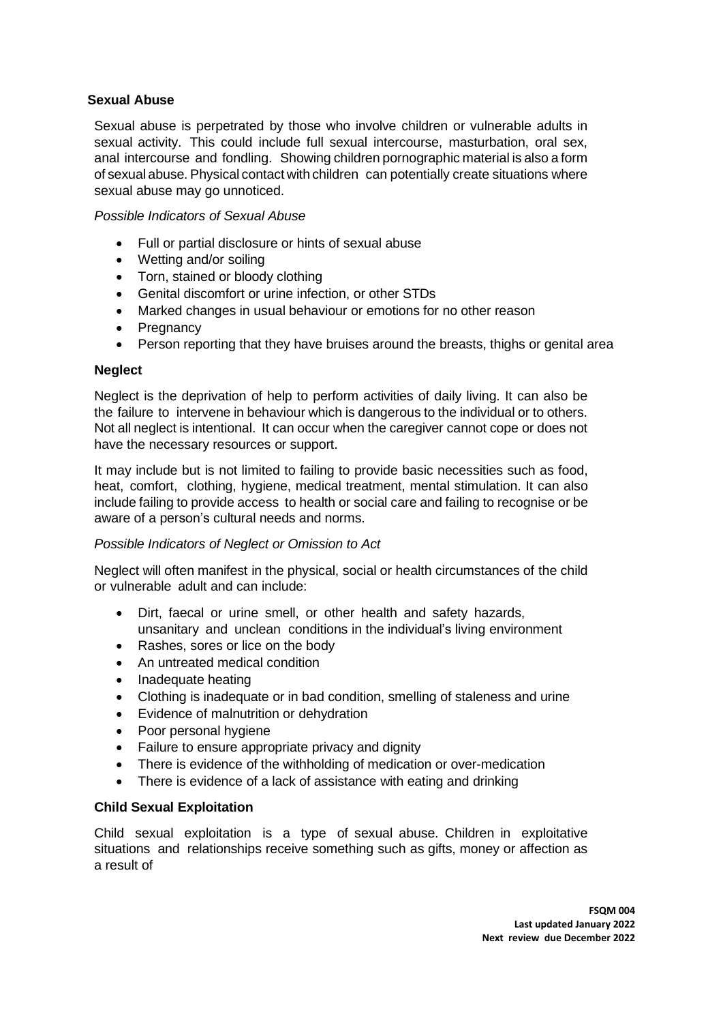## **Sexual Abuse**

Sexual abuse is perpetrated by those who involve children or vulnerable adults in sexual activity. This could include full sexual intercourse, masturbation, oral sex, anal intercourse and fondling. Showing children pornographic material is also a form of sexual abuse. Physical contact with children can potentially create situations where sexual abuse may go unnoticed.

#### *Possible Indicators of Sexual Abuse*

- Full or partial disclosure or hints of sexual abuse
- Wetting and/or soiling
- Torn, stained or bloody clothing
- Genital discomfort or urine infection, or other STDs
- Marked changes in usual behaviour or emotions for no other reason
- **Pregnancy**
- Person reporting that they have bruises around the breasts, thighs or genital area

#### **Neglect**

Neglect is the deprivation of help to perform activities of daily living. It can also be the failure to intervene in behaviour which is dangerous to the individual or to others. Not all neglect is intentional. It can occur when the caregiver cannot cope or does not have the necessary resources or support.

It may include but is not limited to failing to provide basic necessities such as food, heat, comfort, clothing, hygiene, medical treatment, mental stimulation. It can also include failing to provide access to health or social care and failing to recognise or be aware of a person's cultural needs and norms.

#### *Possible Indicators of Neglect or Omission to Act*

Neglect will often manifest in the physical, social or health circumstances of the child or vulnerable adult and can include:

- Dirt, faecal or urine smell, or other health and safety hazards, unsanitary and unclean conditions in the individual's living environment
- Rashes, sores or lice on the body
- An untreated medical condition
- Inadequate heating
- Clothing is inadequate or in bad condition, smelling of staleness and urine
- Evidence of malnutrition or dehydration
- Poor personal hygiene
- Failure to ensure appropriate privacy and dignity
- There is evidence of the withholding of medication or over-medication
- There is evidence of a lack of assistance with eating and drinking

#### **Child Sexual Exploitation**

Child sexual exploitation is a type of sexual abuse. Children in exploitative situations and relationships receive something such as gifts, money or affection as a result of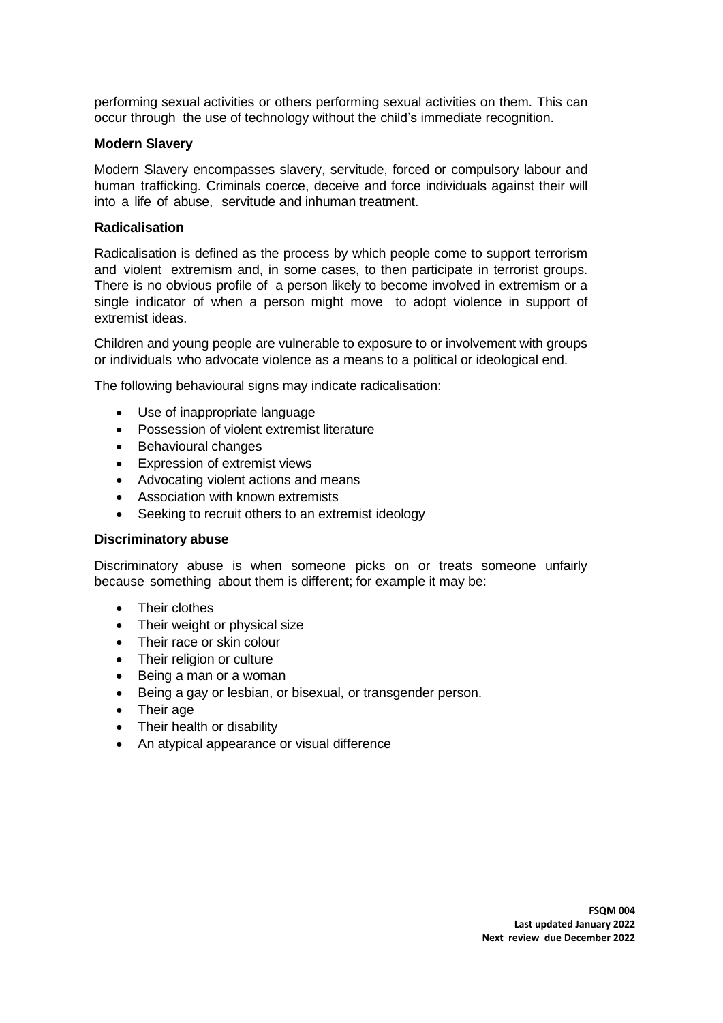performing sexual activities or others performing sexual activities on them. This can occur through the use of technology without the child's immediate recognition.

#### **Modern Slavery**

Modern Slavery encompasses slavery, servitude, forced or compulsory labour and human trafficking. Criminals coerce, deceive and force individuals against their will into a life of abuse, servitude and inhuman treatment.

#### **Radicalisation**

Radicalisation is defined as the process by which people come to support terrorism and violent extremism and, in some cases, to then participate in terrorist groups. There is no obvious profile of a person likely to become involved in extremism or a single indicator of when a person might move to adopt violence in support of extremist ideas.

Children and young people are vulnerable to exposure to or involvement with groups or individuals who advocate violence as a means to a political or ideological end.

The following behavioural signs may indicate radicalisation:

- Use of inappropriate language
- Possession of violent extremist literature
- Behavioural changes
- Expression of extremist views
- Advocating violent actions and means
- Association with known extremists
- Seeking to recruit others to an extremist ideology

#### **Discriminatory abuse**

Discriminatory abuse is when someone picks on or treats someone unfairly because something about them is different; for example it may be:

- Their clothes
- Their weight or physical size
- Their race or skin colour
- Their religion or culture
- Being a man or a woman
- Being a gay or lesbian, or bisexual, or transgender person.
- Their age
- Their health or disability
- An atypical appearance or visual difference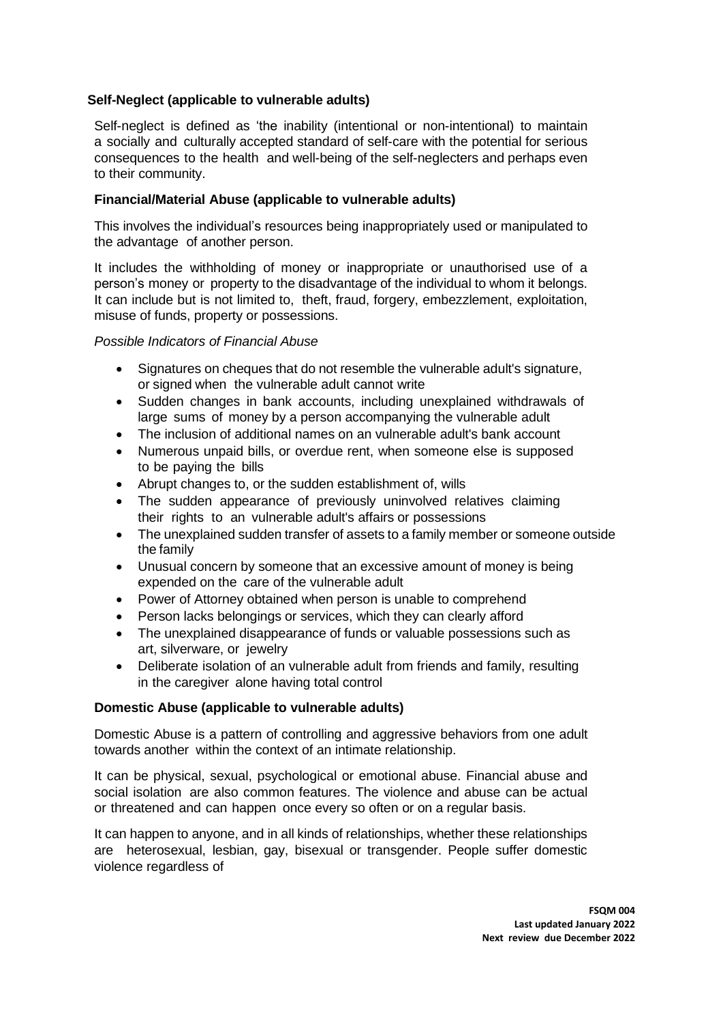#### **Self-Neglect (applicable to vulnerable adults)**

Self-neglect is defined as 'the inability (intentional or non-intentional) to maintain a socially and culturally accepted standard of self-care with the potential for serious consequences to the health and well-being of the self-neglecters and perhaps even to their community.

#### **Financial/Material Abuse (applicable to vulnerable adults)**

This involves the individual's resources being inappropriately used or manipulated to the advantage of another person.

It includes the withholding of money or inappropriate or unauthorised use of a person's money or property to the disadvantage of the individual to whom it belongs. It can include but is not limited to, theft, fraud, forgery, embezzlement, exploitation, misuse of funds, property or possessions.

#### *Possible Indicators of Financial Abuse*

- Signatures on cheques that do not resemble the vulnerable adult's signature, or signed when the vulnerable adult cannot write
- Sudden changes in bank accounts, including unexplained withdrawals of large sums of money by a person accompanying the vulnerable adult
- The inclusion of additional names on an vulnerable adult's bank account
- Numerous unpaid bills, or overdue rent, when someone else is supposed to be paying the bills
- Abrupt changes to, or the sudden establishment of, wills
- The sudden appearance of previously uninvolved relatives claiming their rights to an vulnerable adult's affairs or possessions
- The unexplained sudden transfer of assets to a family member or someone outside the family
- Unusual concern by someone that an excessive amount of money is being expended on the care of the vulnerable adult
- Power of Attorney obtained when person is unable to comprehend
- Person lacks belongings or services, which they can clearly afford
- The unexplained disappearance of funds or valuable possessions such as art, silverware, or jewelry
- Deliberate isolation of an vulnerable adult from friends and family, resulting in the caregiver alone having total control

#### **Domestic Abuse (applicable to vulnerable adults)**

Domestic Abuse is a pattern of controlling and aggressive behaviors from one adult towards another within the context of an intimate relationship.

It can be physical, sexual, psychological or emotional abuse. Financial abuse and social isolation are also common features. The violence and abuse can be actual or threatened and can happen once every so often or on a regular basis.

It can happen to anyone, and in all kinds of relationships, whether these relationships are heterosexual, lesbian, gay, bisexual or transgender. People suffer domestic violence regardless of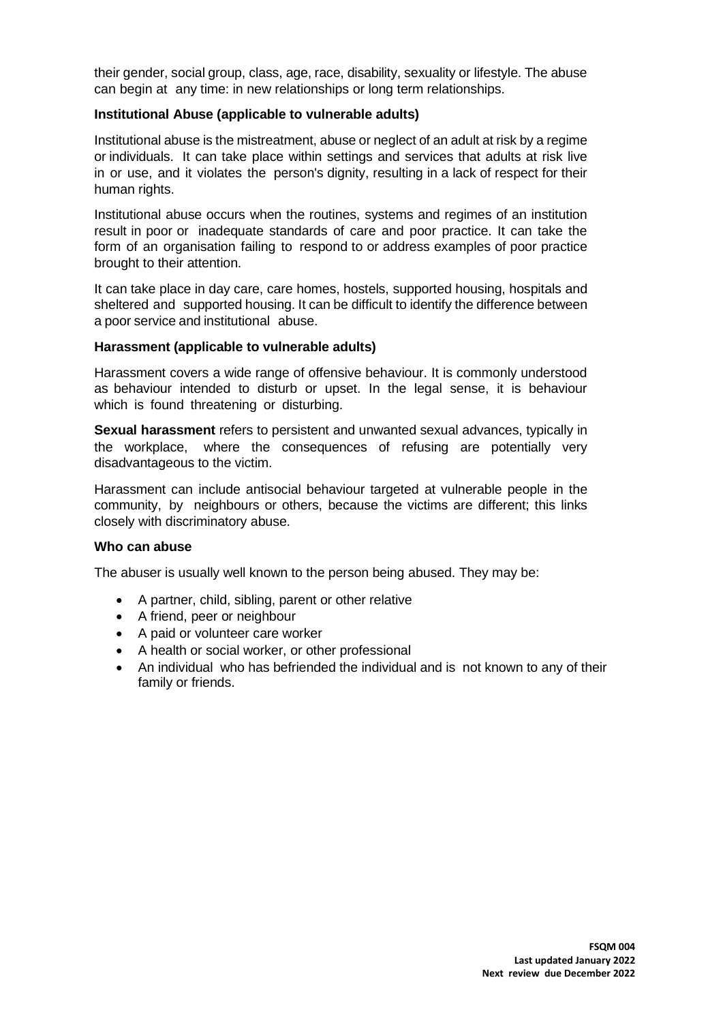their gender, social group, class, age, race, disability, sexuality or lifestyle. The abuse can begin at any time: in new relationships or long term relationships.

#### **Institutional Abuse (applicable to vulnerable adults)**

Institutional abuse is the mistreatment, abuse or neglect of an adult at risk by a regime or individuals. It can take place within settings and services that adults at risk live in or use, and it violates the person's dignity, resulting in a lack of respect for their human rights.

Institutional abuse occurs when the routines, systems and regimes of an institution result in poor or inadequate standards of care and poor practice. It can take the form of an organisation failing to respond to or address examples of poor practice brought to their attention.

It can take place in day care, care homes, hostels, supported housing, hospitals and sheltered and supported housing. It can be difficult to identify the difference between a poor service and institutional abuse.

#### **Harassment (applicable to vulnerable adults)**

Harassment covers a wide range of offensive behaviour. It is commonly understood as behaviour intended to disturb or upset. In the legal sense, it is behaviour which is found threatening or disturbing.

**Sexual [harassment](http://en.wikipedia.org/wiki/Sexual_harassment)** refers to persistent and unwanted sexual advances, typically in the workplace, where the consequences of refusing are potentially very disadvantageous to the victim.

Harassment can include antisocial behaviour targeted at vulnerable people in the community, by neighbours or others, because the victims are different; this links closely with discriminatory abuse.

#### **Who can abuse**

The abuser is usually well known to the person being abused. They may be:

- A partner, child, sibling, parent or other relative
- A friend, peer or neighbour
- A paid or volunteer care worker
- A health or social worker, or other professional
- An individual who has befriended the individual and is not known to any of their family or friends.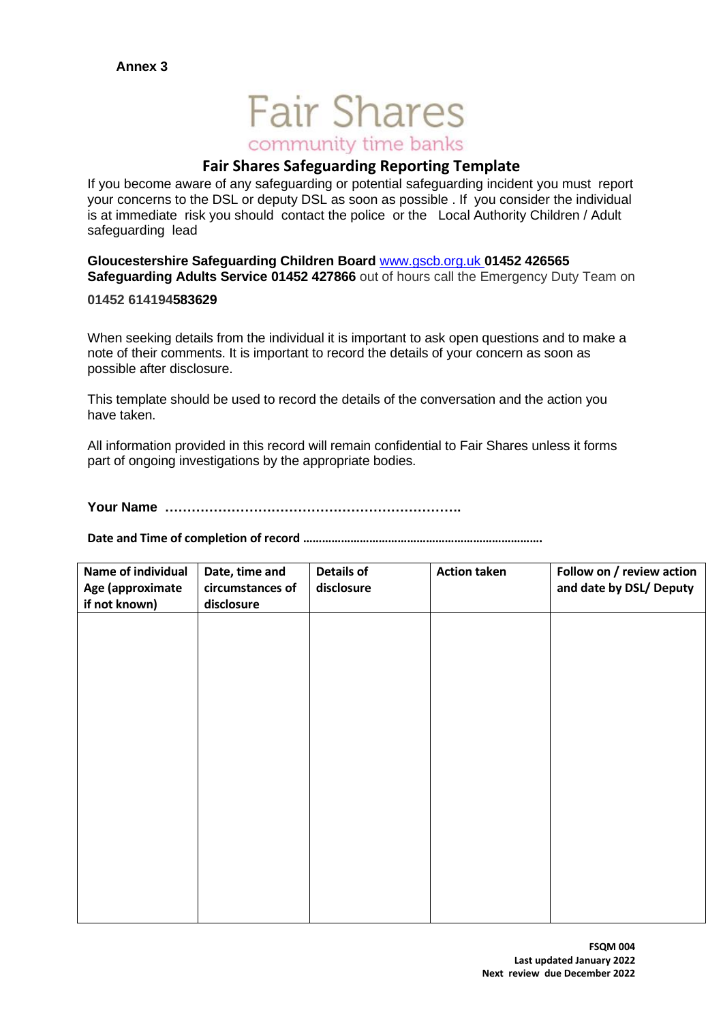# **Fair Shares** community time banks

## **Fair Shares Safeguarding Reporting Template**

If you become aware of any safeguarding or potential safeguarding incident you must report your concerns to the DSL or deputy DSL as soon as possible . If you consider the individual is at immediate risk you should contact the police or the Local Authority Children / Adult safeguarding lead

**Gloucestershire Safeguarding Children Board** [www.gscb.org.uk](http://www.gscb.org.uk/) **01452 426565 Safeguarding Adults Service 01452 427866** out of hours call the Emergency Duty Team on

#### **01452 614194583629**

When seeking details from the individual it is important to ask open questions and to make a note of their comments. It is important to record the details of your concern as soon as possible after disclosure.

This template should be used to record the details of the conversation and the action you have taken.

All information provided in this record will remain confidential to Fair Shares unless it forms part of ongoing investigations by the appropriate bodies.

**Your Name ………………………………………………………….**

**Date and Time of completion of record ………………………………………………………………….**

| Name of individual<br>Age (approximate<br>if not known) | Date, time and<br>circumstances of<br>disclosure | <b>Details of</b><br>disclosure | <b>Action taken</b> | Follow on / review action<br>and date by DSL/ Deputy |
|---------------------------------------------------------|--------------------------------------------------|---------------------------------|---------------------|------------------------------------------------------|
|                                                         |                                                  |                                 |                     |                                                      |
|                                                         |                                                  |                                 |                     |                                                      |
|                                                         |                                                  |                                 |                     |                                                      |
|                                                         |                                                  |                                 |                     |                                                      |
|                                                         |                                                  |                                 |                     |                                                      |
|                                                         |                                                  |                                 |                     |                                                      |
|                                                         |                                                  |                                 |                     |                                                      |